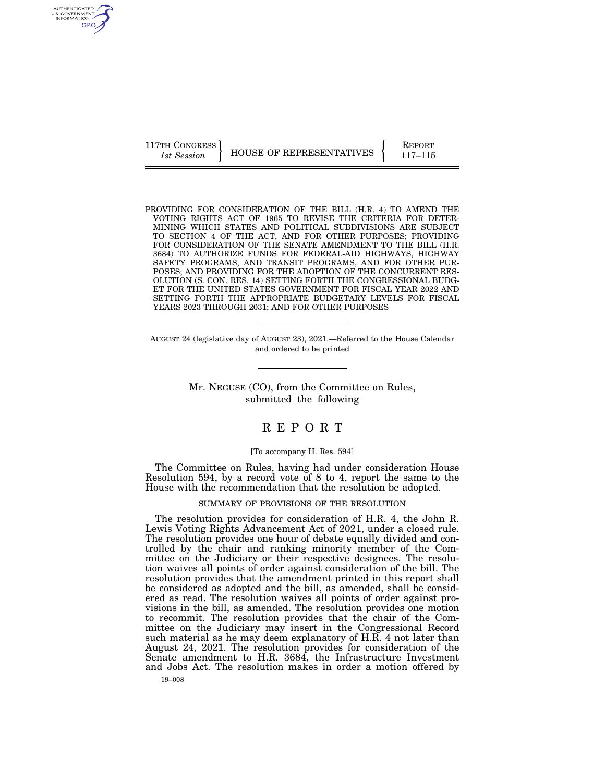117TH CONGRESS HOUSE OF REPRESENTATIVES **REPORT** 117-115

PROVIDING FOR CONSIDERATION OF THE BILL (H.R. 4) TO AMEND THE VOTING RIGHTS ACT OF 1965 TO REVISE THE CRITERIA FOR DETER-MINING WHICH STATES AND POLITICAL SUBDIVISIONS ARE SUBJECT TO SECTION 4 OF THE ACT, AND FOR OTHER PURPOSES; PROVIDING FOR CONSIDERATION OF THE SENATE AMENDMENT TO THE BILL (H.R. 3684) TO AUTHORIZE FUNDS FOR FEDERAL-AID HIGHWAYS, HIGHWAY SAFETY PROGRAMS, AND TRANSIT PROGRAMS, AND FOR OTHER PUR-POSES; AND PROVIDING FOR THE ADOPTION OF THE CONCURRENT RES-OLUTION (S. CON. RES. 14) SETTING FORTH THE CONGRESSIONAL BUDG-ET FOR THE UNITED STATES GOVERNMENT FOR FISCAL YEAR 2022 AND SETTING FORTH THE APPROPRIATE BUDGETARY LEVELS FOR FISCAL YEARS 2023 THROUGH 2031; AND FOR OTHER PURPOSES

AUGUST 24 (legislative day of AUGUST 23), 2021.—Referred to the House Calendar and ordered to be printed

> Mr. NEGUSE (CO), from the Committee on Rules, submitted the following

# R E P O R T

### [To accompany H. Res. 594]

The Committee on Rules, having had under consideration House Resolution 594, by a record vote of 8 to 4, report the same to the House with the recommendation that the resolution be adopted.

# SUMMARY OF PROVISIONS OF THE RESOLUTION

The resolution provides for consideration of H.R. 4, the John R. Lewis Voting Rights Advancement Act of 2021, under a closed rule. The resolution provides one hour of debate equally divided and controlled by the chair and ranking minority member of the Committee on the Judiciary or their respective designees. The resolution waives all points of order against consideration of the bill. The resolution provides that the amendment printed in this report shall be considered as adopted and the bill, as amended, shall be considered as read. The resolution waives all points of order against provisions in the bill, as amended. The resolution provides one motion to recommit. The resolution provides that the chair of the Committee on the Judiciary may insert in the Congressional Record such material as he may deem explanatory of H.R. 4 not later than August 24, 2021. The resolution provides for consideration of the Senate amendment to H.R. 3684, the Infrastructure Investment and Jobs Act. The resolution makes in order a motion offered by

AUTHENTICATED U.S. GOVERNMENT GPO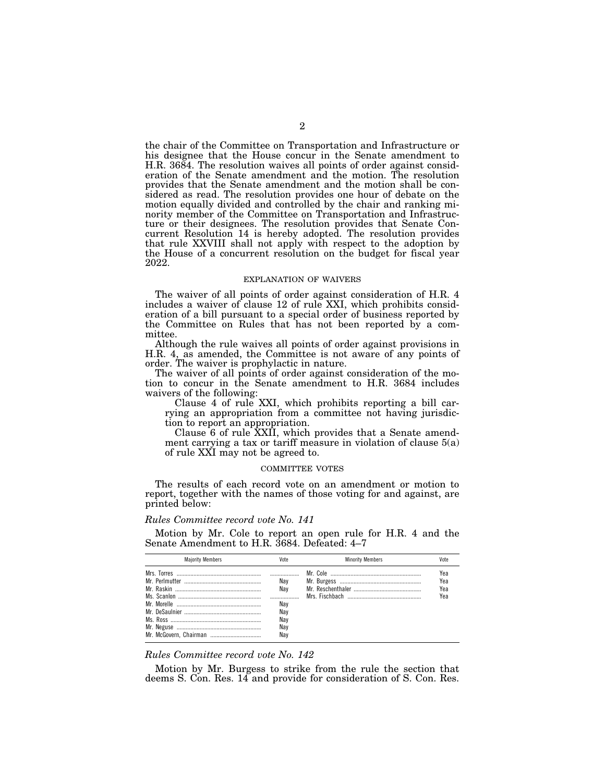the chair of the Committee on Transportation and Infrastructure or his designee that the House concur in the Senate amendment to H.R. 3684. The resolution waives all points of order against consideration of the Senate amendment and the motion. The resolution provides that the Senate amendment and the motion shall be considered as read. The resolution provides one hour of debate on the motion equally divided and controlled by the chair and ranking minority member of the Committee on Transportation and Infrastructure or their designees. The resolution provides that Senate Concurrent Resolution 14 is hereby adopted. The resolution provides that rule XXVIII shall not apply with respect to the adoption by the House of a concurrent resolution on the budget for fiscal year 2022.

#### EXPLANATION OF WAIVERS

The waiver of all points of order against consideration of H.R. 4 includes a waiver of clause 12 of rule XXI, which prohibits consideration of a bill pursuant to a special order of business reported by the Committee on Rules that has not been reported by a committee.

Although the rule waives all points of order against provisions in H.R. 4, as amended, the Committee is not aware of any points of order. The waiver is prophylactic in nature.

The waiver of all points of order against consideration of the motion to concur in the Senate amendment to H.R. 3684 includes waivers of the following:

Clause 4 of rule XXI, which prohibits reporting a bill carrying an appropriation from a committee not having jurisdiction to report an appropriation.

Clause 6 of rule XXII, which provides that a Senate amendment carrying a tax or tariff measure in violation of clause 5(a) of rule XXI may not be agreed to.

#### COMMITTEE VOTES

The results of each record vote on an amendment or motion to report, together with the names of those voting for and against, are printed below:

# *Rules Committee record vote No. 141*

Motion by Mr. Cole to report an open rule for H.R. 4 and the Senate Amendment to H.R. 3684. Defeated: 4–7

| <b>Maiority Members</b> | Vote | <b>Minority Members</b> | Vote |
|-------------------------|------|-------------------------|------|
|                         |      |                         | Yea  |
|                         | Nav  |                         | Yea  |
|                         | Nav  |                         | Yea  |
|                         |      |                         | Yea  |
|                         | Nav  |                         |      |
|                         | Nav  |                         |      |
|                         | Nav  |                         |      |
|                         | Nav  |                         |      |
|                         |      |                         |      |

## *Rules Committee record vote No. 142*

Motion by Mr. Burgess to strike from the rule the section that deems S. Con. Res. 14 and provide for consideration of S. Con. Res.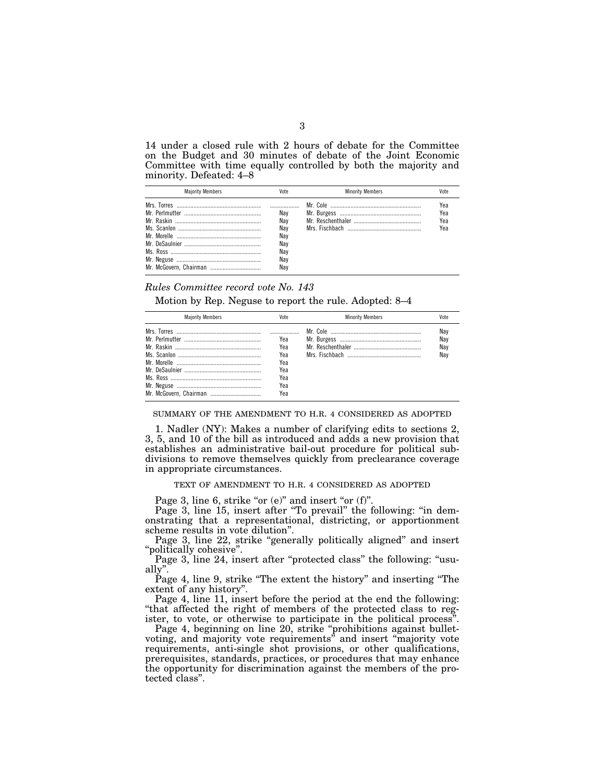14 under a closed rule with 2 hours of debate for the Committee on the Budget and 30 minutes of debate of the Joint Economic Committee with time equally controlled by both the majority and minority. Defeated: 4–8

| <b>Maiority Members</b> | Vote                                                 | <b>Minority Members</b> | Vote                     |
|-------------------------|------------------------------------------------------|-------------------------|--------------------------|
|                         | Nav<br>Nav<br>Nav<br>Nav<br>Nav<br>Nav<br>Nav<br>Nav |                         | Yea<br>Yea<br>Yea<br>Yea |

### *Rules Committee record vote No. 143*

Motion by Rep. Neguse to report the rule. Adopted: 8–4

| <b>Maiority Members</b> | Vote                                                 | <b>Minority Members</b> | Vote                     |
|-------------------------|------------------------------------------------------|-------------------------|--------------------------|
| Mr. McGovern, Chairman  | Yea<br>Yea<br>Yea<br>Yea<br>Yea<br>Yea<br>Yea<br>Yea |                         | Nay<br>Nav<br>Nav<br>Nav |

SUMMARY OF THE AMENDMENT TO H.R. 4 CONSIDERED AS ADOPTED

1. Nadler (NY): Makes a number of clarifying edits to sections 2, 3, 5, and 10 of the bill as introduced and adds a new provision that establishes an administrative bail-out procedure for political subdivisions to remove themselves quickly from preclearance coverage in appropriate circumstances.

TEXT OF AMENDMENT TO H.R. 4 CONSIDERED AS ADOPTED

Page 3, line 6, strike "or (e)" and insert "or (f)".

Page 3, line 15, insert after "To prevail" the following: "in demonstrating that a representational, districting, or apportionment scheme results in vote dilution''.

Page 3, line 22, strike "generally politically aligned" and insert "politically cohesive".

Page 3, line 24, insert after "protected class" the following: "usually''.

Page 4, line 9, strike ''The extent the history'' and inserting ''The extent of any history''.

Page 4, line 11, insert before the period at the end the following: ''that affected the right of members of the protected class to register, to vote, or otherwise to participate in the political process''.

Page 4, beginning on line 20, strike ''prohibitions against bulletvoting, and majority vote requirements'' and insert ''majority vote requirements, anti-single shot provisions, or other qualifications, prerequisites, standards, practices, or procedures that may enhance the opportunity for discrimination against the members of the protected class''.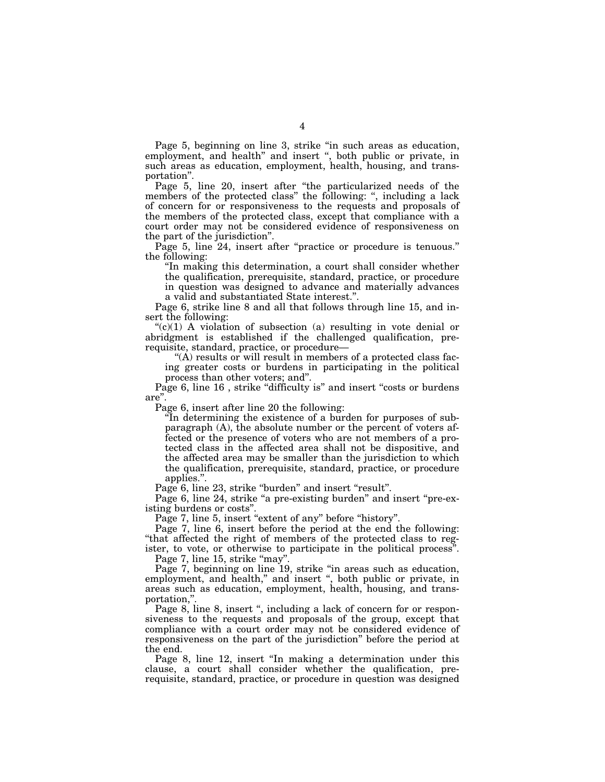Page 5, beginning on line 3, strike "in such areas as education, employment, and health'' and insert '', both public or private, in such areas as education, employment, health, housing, and transportation''.

Page 5, line 20, insert after "the particularized needs of the members of the protected class" the following: ", including a lack of concern for or responsiveness to the requests and proposals of the members of the protected class, except that compliance with a court order may not be considered evidence of responsiveness on the part of the jurisdiction''.

Page 5, line 24, insert after "practice or procedure is tenuous." the following:

''In making this determination, a court shall consider whether the qualification, prerequisite, standard, practice, or procedure in question was designed to advance and materially advances a valid and substantiated State interest.''.

Page 6, strike line 8 and all that follows through line 15, and insert the following:

 $C<sup>(c)</sup>(1)$  A violation of subsection (a) resulting in vote denial or abridgment is established if the challenged qualification, prerequisite, standard, practice, or procedure—

" $(A)$  results or will result in members of a protected class facing greater costs or burdens in participating in the political process than other voters; and''.

Page 6, line 16, strike "difficulty is" and insert "costs or burdens" are''.

Page 6, insert after line 20 the following:

''In determining the existence of a burden for purposes of subparagraph (A), the absolute number or the percent of voters affected or the presence of voters who are not members of a protected class in the affected area shall not be dispositive, and the affected area may be smaller than the jurisdiction to which the qualification, prerequisite, standard, practice, or procedure applies.''.

Page 6, line 23, strike "burden" and insert "result".

Page 6, line 24, strike "a pre-existing burden" and insert "pre-existing burdens or costs''.

Page 7, line 5, insert "extent of any" before "history".

Page 7, line 6, insert before the period at the end the following: ''that affected the right of members of the protected class to register, to vote, or otherwise to participate in the political process''.

Page 7, line 15, strike "may".

Page 7, beginning on line 19, strike ''in areas such as education, employment, and health," and insert ", both public or private, in areas such as education, employment, health, housing, and transportation,''.

Page 8, line 8, insert ", including a lack of concern for or responsiveness to the requests and proposals of the group, except that compliance with a court order may not be considered evidence of responsiveness on the part of the jurisdiction'' before the period at the end.

Page 8, line 12, insert "In making a determination under this clause, a court shall consider whether the qualification, prerequisite, standard, practice, or procedure in question was designed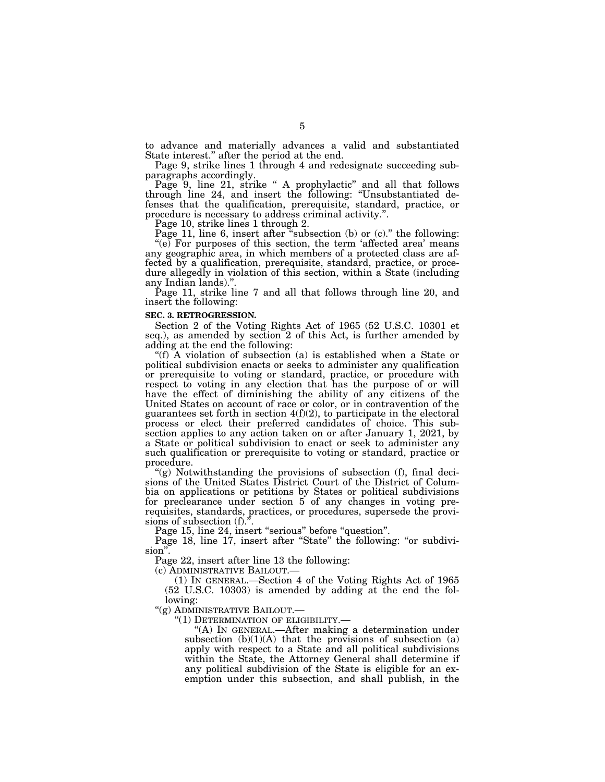to advance and materially advances a valid and substantiated State interest.'' after the period at the end.

Page 9, strike lines 1 through 4 and redesignate succeeding subparagraphs accordingly.

Page 9, line 21, strike " A prophylactic" and all that follows through line 24, and insert the following: ''Unsubstantiated defenses that the qualification, prerequisite, standard, practice, or procedure is necessary to address criminal activity.''.

Page 10, strike lines 1 through 2.

Page 11, line 6, insert after "subsection (b) or (c)." the following:  $(e)$  For purposes of this section, the term 'affected area' means any geographic area, in which members of a protected class are affected by a qualification, prerequisite, standard, practice, or procedure allegedly in violation of this section, within a State (including any Indian lands)."

Page 11, strike line 7 and all that follows through line 20, and insert the following:

#### **SEC. 3. RETROGRESSION.**

Section 2 of the Voting Rights Act of 1965 (52 U.S.C. 10301 et seq.), as amended by section 2 of this Act, is further amended by adding at the end the following:

''(f) A violation of subsection (a) is established when a State or political subdivision enacts or seeks to administer any qualification or prerequisite to voting or standard, practice, or procedure with respect to voting in any election that has the purpose of or will have the effect of diminishing the ability of any citizens of the United States on account of race or color, or in contravention of the guarantees set forth in section  $4(f)(2)$ , to participate in the electoral process or elect their preferred candidates of choice. This subsection applies to any action taken on or after January 1, 2021, by a State or political subdivision to enact or seek to administer any such qualification or prerequisite to voting or standard, practice or procedure.

 $'(g)$  Notwithstanding the provisions of subsection  $(f)$ , final decisions of the United States District Court of the District of Columbia on applications or petitions by States or political subdivisions for preclearance under section 5 of any changes in voting prerequisites, standards, practices, or procedures, supersede the provisions of subsection (f).".

Page 15, line 24, insert "serious" before "question".

Page 18, line 17, insert after "State" the following: "or subdivision''.

Page 22, insert after line 13 the following:

(c) ADMINISTRATIVE BAILOUT.—

(1) IN GENERAL.—Section 4 of the Voting Rights Act of 1965 (52 U.S.C. 10303) is amended by adding at the end the following:

''(g) ADMINISTRATIVE BAILOUT.—

''(1) DETERMINATION OF ELIGIBILITY.—

''(A) IN GENERAL.—After making a determination under subsection  $(b)(1)(A)$  that the provisions of subsection  $(a)$ apply with respect to a State and all political subdivisions within the State, the Attorney General shall determine if any political subdivision of the State is eligible for an exemption under this subsection, and shall publish, in the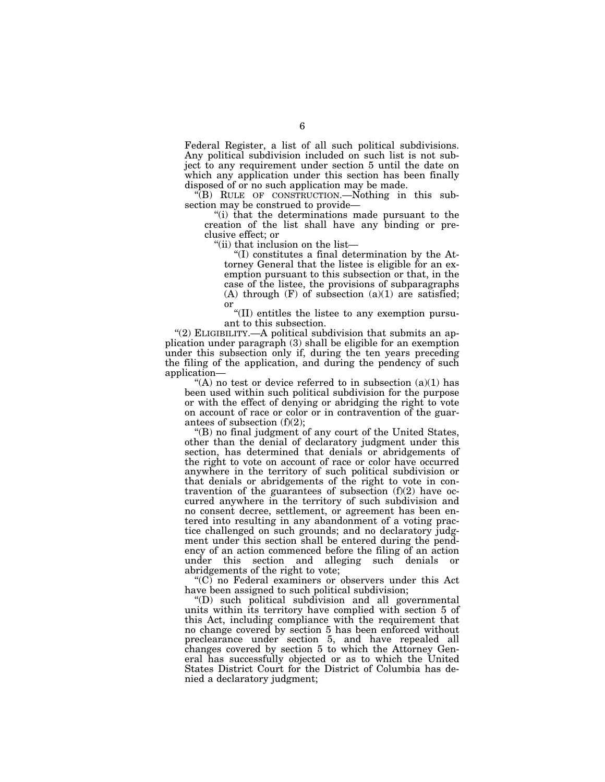Federal Register, a list of all such political subdivisions. Any political subdivision included on such list is not subject to any requirement under section 5 until the date on which any application under this section has been finally disposed of or no such application may be made.

''(B) RULE OF CONSTRUCTION.—Nothing in this subsection may be construed to provide—

''(i) that the determinations made pursuant to the creation of the list shall have any binding or preclusive effect; or

''(ii) that inclusion on the list—

''(I) constitutes a final determination by the Attorney General that the listee is eligible for an exemption pursuant to this subsection or that, in the case of the listee, the provisions of subparagraphs (A) through  $(F)$  of subsection  $(a)(1)$  are satisfied; or

''(II) entitles the listee to any exemption pursuant to this subsection.

"(2) ELIGIBILITY.—A political subdivision that submits an application under paragraph (3) shall be eligible for an exemption under this subsection only if, during the ten years preceding the filing of the application, and during the pendency of such application—

"(A) no test or device referred to in subsection  $(a)(1)$  has been used within such political subdivision for the purpose or with the effect of denying or abridging the right to vote on account of race or color or in contravention of the guarantees of subsection (f)(2);

''(B) no final judgment of any court of the United States, other than the denial of declaratory judgment under this section, has determined that denials or abridgements of the right to vote on account of race or color have occurred anywhere in the territory of such political subdivision or that denials or abridgements of the right to vote in contravention of the guarantees of subsection (f)(2) have occurred anywhere in the territory of such subdivision and no consent decree, settlement, or agreement has been entered into resulting in any abandonment of a voting practice challenged on such grounds; and no declaratory judgment under this section shall be entered during the pendency of an action commenced before the filing of an action under this section and alleging such denials or abridgements of the right to vote;

" $(C)$  no Federal examiners or observers under this Act have been assigned to such political subdivision;

''(D) such political subdivision and all governmental units within its territory have complied with section 5 of this Act, including compliance with the requirement that no change covered by section 5 has been enforced without preclearance under section 5, and have repealed all changes covered by section 5 to which the Attorney General has successfully objected or as to which the United States District Court for the District of Columbia has denied a declaratory judgment;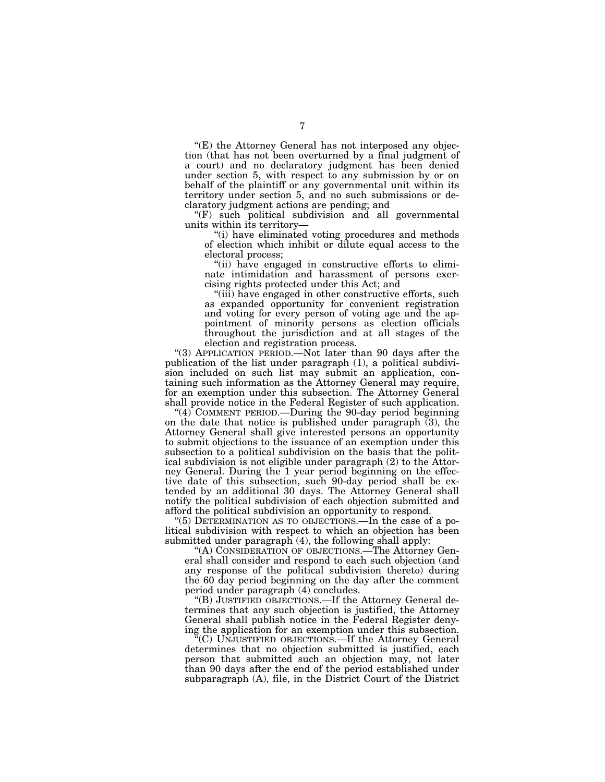$E$ ) the Attorney General has not interposed any objection (that has not been overturned by a final judgment of a court) and no declaratory judgment has been denied under section 5, with respect to any submission by or on behalf of the plaintiff or any governmental unit within its territory under section 5, and no such submissions or declaratory judgment actions are pending; and

''(F) such political subdivision and all governmental units within its territory—

''(i) have eliminated voting procedures and methods of election which inhibit or dilute equal access to the electoral process;

"(ii) have engaged in constructive efforts to eliminate intimidation and harassment of persons exercising rights protected under this Act; and

''(iii) have engaged in other constructive efforts, such as expanded opportunity for convenient registration and voting for every person of voting age and the appointment of minority persons as election officials throughout the jurisdiction and at all stages of the election and registration process.

''(3) APPLICATION PERIOD.—Not later than 90 days after the publication of the list under paragraph (1), a political subdivision included on such list may submit an application, containing such information as the Attorney General may require, for an exemption under this subsection. The Attorney General shall provide notice in the Federal Register of such application.

"(4) COMMENT PERIOD.—During the 90-day period beginning on the date that notice is published under paragraph  $(3)$ , the Attorney General shall give interested persons an opportunity to submit objections to the issuance of an exemption under this subsection to a political subdivision on the basis that the political subdivision is not eligible under paragraph (2) to the Attorney General. During the 1 year period beginning on the effective date of this subsection, such 90-day period shall be extended by an additional 30 days. The Attorney General shall notify the political subdivision of each objection submitted and afford the political subdivision an opportunity to respond.

''(5) DETERMINATION AS TO OBJECTIONS.—In the case of a political subdivision with respect to which an objection has been submitted under paragraph (4), the following shall apply:

''(A) CONSIDERATION OF OBJECTIONS.—The Attorney General shall consider and respond to each such objection (and any response of the political subdivision thereto) during the 60 day period beginning on the day after the comment period under paragraph (4) concludes.

''(B) JUSTIFIED OBJECTIONS.—If the Attorney General determines that any such objection is justified, the Attorney General shall publish notice in the Federal Register denying the application for an exemption under this subsection.

 $\mathbb{F}(C)$  UNJUSTIFIED OBJECTIONS.—If the Attorney General determines that no objection submitted is justified, each person that submitted such an objection may, not later than 90 days after the end of the period established under subparagraph (A), file, in the District Court of the District